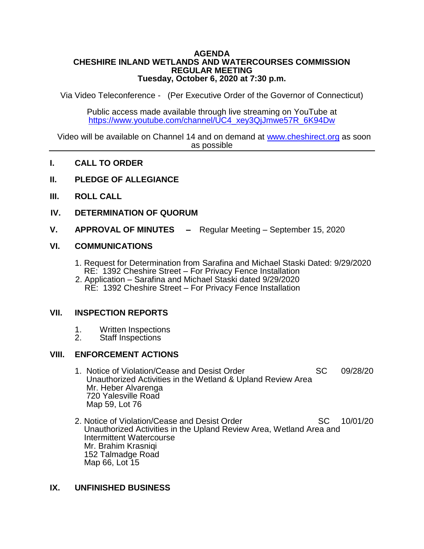#### **AGENDA CHESHIRE INLAND WETLANDS AND WATERCOURSES COMMISSION REGULAR MEETING Tuesday, October 6, 2020 at 7:30 p.m.**

Via Video Teleconference - (Per Executive Order of the Governor of Connecticut)

Public access made available through live streaming on YouTube at [https://www.youtube.com/channel/UC4\\_xey3QjJmwe57R\\_6K94Dw](https://www.youtube.com/channel/UC4_xey3QjJmwe57R_6K94Dw)

Video will be available on Channel 14 and on demand at [www.cheshirect.org](http://www.cheshirect.org/) as soon as possible

### **I. CALL TO ORDER**

- **II. PLEDGE OF ALLEGIANCE**
- **III. ROLL CALL**
- **IV. DETERMINATION OF QUORUM**
- **V. APPROVAL OF MINUTES –** Regular Meeting September 15, 2020

#### **VI. COMMUNICATIONS**

- 1. Request for Determination from Sarafina and Michael Staski Dated: 9/29/2020 RE: 1392 Cheshire Street – For Privacy Fence Installation
- 2. Application Sarafina and Michael Staski dated 9/29/2020 RE: 1392 Cheshire Street – For Privacy Fence Installation

#### **VII. INSPECTION REPORTS**

- 1. Written Inspections<br>2. Staff Inspections
- Staff Inspections

#### **VIII. ENFORCEMENT ACTIONS**

- 1. Notice of Violation/Cease and Desist Order SC 09/28/20 Unauthorized Activities in the Wetland & Upland Review Area Mr. Heber Alvarenga 720 Yalesville Road Map 59, Lot 76
- 2. Notice of Violation/Cease and Desist Order SC 10/01/20 Unauthorized Activities in the Upland Review Area, Wetland Area and Intermittent Watercourse Mr. Brahim Krasniqi 152 Talmadge Road Map 66, Lot 15

## **IX. UNFINISHED BUSINESS**